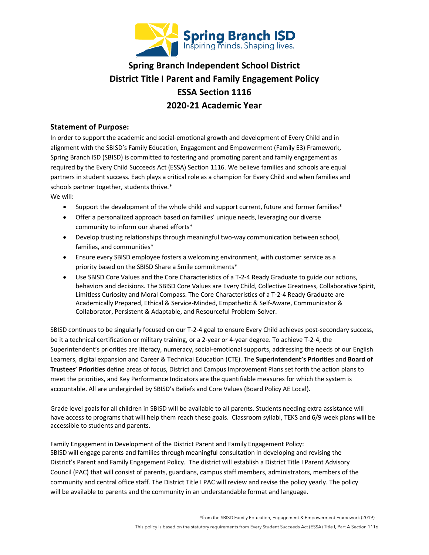

# **Spring Branch Independent School District District Title I Parent and Family Engagement Policy ESSA Section 1116 2020-21 Academic Year**

#### **Statement of Purpose:**

In order to support the academic and social-emotional growth and development of Every Child and in alignment with the SBISD's Family Education, Engagement and Empowerment (Family E3) Framework, Spring Branch ISD (SBISD) is committed to fostering and promoting parent and family engagement as required by the Every Child Succeeds Act (ESSA) Section 1116. We believe families and schools are equal partners in student success. Each plays a critical role as a champion for Every Child and when families and schools partner together, students thrive.\*

We will:

- Support the development of the whole child and support current, future and former families\*
- Offer a personalized approach based on families' unique needs, leveraging our diverse community to inform our shared efforts\*
- Develop trusting relationships through meaningful two-way communication between school, families, and communities\*
- Ensure every SBISD employee fosters a welcoming environment, with customer service as a priority based on the SBISD Share a Smile commitments\*
- Use SBISD Core Values and the Core Characteristics of a T-2-4 Ready Graduate to guide our actions, behaviors and decisions. The SBISD Core Values are Every Child, Collective Greatness, Collaborative Spirit, Limitless Curiosity and Moral Compass. The Core Characteristics of a T-2-4 Ready Graduate are Academically Prepared, Ethical & Service-Minded, Empathetic & Self-Aware, Communicator & Collaborator, Persistent & Adaptable, and Resourceful Problem-Solver.

SBISD continues to be singularly focused on our T-2-4 goal to ensure Every Child achieves post-secondary success, be it a technical certification or military training, or a 2-year or 4-year degree. To achieve T-2-4, the Superintendent's priorities are literacy, numeracy, social-emotional supports, addressing the needs of our English Learners, digital expansion and Career & Technical Education (CTE). The **Superintendent's Priorities** and **Board of Trustees' Priorities** define areas of focus, District and Campus Improvement Plans set forth the action plans to meet the priorities, and Key Performance Indicators are the quantifiable measures for which the system is accountable. All are undergirded by SBISD's Beliefs and Core Values (Board Policy AE Local).

Grade level goals for all children in SBISD will be available to all parents. Students needing extra assistance will have access to programs that will help them reach these goals. Classroom syllabi, TEKS and 6/9 week plans will be accessible to students and parents.

Family Engagement in Development of the District Parent and Family Engagement Policy: SBISD will engage parents and families through meaningful consultation in developing and revising the District's Parent and Family Engagement Policy. The district will establish a District Title I Parent Advisory Council (PAC) that will consist of parents, guardians, campus staff members, administrators, members of the community and central office staff. The District Title I PAC will review and revise the policy yearly. The policy will be available to parents and the community in an understandable format and language.

\*from the SBISD Family Education, Engagement & Empowerment Framework (2019)

This policy is based on the statutory requirements from Every Student Succeeds Act (ESSA) Title I, Part A Section 1116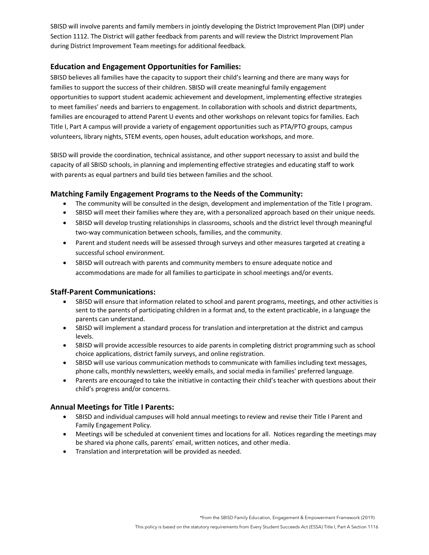SBISD will involve parents and family members in jointly developing the District Improvement Plan (DIP) under Section 1112. The District will gather feedback from parents and will review the District Improvement Plan during District Improvement Team meetings for additional feedback.

## **Education and Engagement Opportunities for Families:**

SBISD believes all families have the capacity to support their child's learning and there are many ways for families to support the success of their children. SBISD will create meaningful family engagement opportunities to support student academic achievement and development, implementing effective strategies to meet families' needs and barriers to engagement. In collaboration with schools and district departments, families are encouraged to attend Parent U events and other workshops on relevant topics for families. Each Title I, Part A campus will provide a variety of engagement opportunities such as PTA/PTO groups, campus volunteers, library nights, STEM events, open houses, adult education workshops, and more.

SBISD will provide the coordination, technical assistance, and other support necessary to assist and build the capacity of all SBISD schools, in planning and implementing effective strategies and educating staff to work with parents as equal partners and build ties between families and the school.

## **Matching Family Engagement Programs to the Needs of the Community:**

- The community will be consulted in the design, development and implementation of the Title I program.
- SBISD will meet their families where they are, with a personalized approach based on their unique needs.
- SBISD will develop trusting relationships in classrooms, schools and the district level through meaningful two-way communication between schools, families, and the community.
- Parent and student needs will be assessed through surveys and other measures targeted at creating a successful school environment.
- SBISD will outreach with parents and community members to ensure adequate notice and accommodations are made for all families to participate in school meetings and/or events.

#### **Staff-Parent Communications:**

- SBISD will ensure that information related to school and parent programs, meetings, and other activities is sent to the parents of participating children in a format and, to the extent practicable, in a language the parents can understand.
- SBISD will implement a standard process for translation and interpretation at the district and campus levels.
- SBISD will provide accessible resources to aide parents in completing district programming such as school choice applications, district family surveys, and online registration.
- SBISD will use various communication methods to communicate with families including text messages, phone calls, monthly newsletters, weekly emails, and social media in families' preferred language.
- Parents are encouraged to take the initiative in contacting their child's teacher with questions about their child's progress and/or concerns.

#### **Annual Meetings for Title I Parents:**

- SBISD and individual campuses will hold annual meetings to review and revise their Title I Parent and Family Engagement Policy.
- Meetings will be scheduled at convenient times and locations for all. Notices regarding the meetings may be shared via phone calls, parents' email, written notices, and other media.
- Translation and interpretation will be provided as needed.